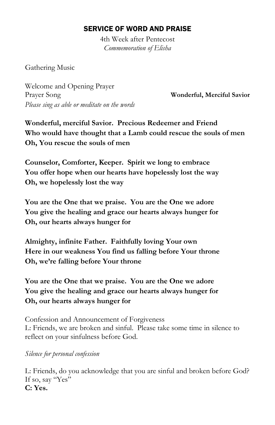## SERVICE OF WORD AND PRAISE

4th Week after Pentecost *Commemoration of Elisha*

Gathering Music

Welcome and Opening Prayer Prayer Song **Wonderful, Merciful Savior** *Please sing as able or meditate on the words*

**Wonderful, merciful Savior. Precious Redeemer and Friend Who would have thought that a Lamb could rescue the souls of men Oh, You rescue the souls of men**

**Counselor, Comforter, Keeper. Spirit we long to embrace You offer hope when our hearts have hopelessly lost the way Oh, we hopelessly lost the way**

**You are the One that we praise. You are the One we adore You give the healing and grace our hearts always hunger for Oh, our hearts always hunger for**

**Almighty, infinite Father. Faithfully loving Your own Here in our weakness You find us falling before Your throne Oh, we're falling before Your throne**

**You are the One that we praise. You are the One we adore You give the healing and grace our hearts always hunger for Oh, our hearts always hunger for**

Confession and Announcement of Forgiveness L: Friends, we are broken and sinful. Please take some time in silence to reflect on your sinfulness before God.

*Silence for personal confession*

L: Friends, do you acknowledge that you are sinful and broken before God? If so, say "Yes" **C: Yes.**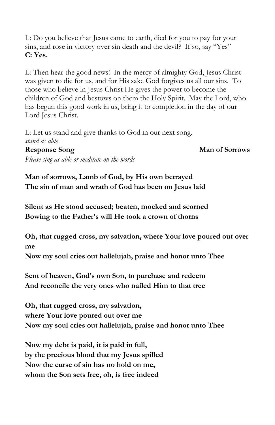L: Do you believe that Jesus came to earth, died for you to pay for your sins, and rose in victory over sin death and the devil? If so, say "Yes" **C: Yes.**

L: Then hear the good news! In the mercy of almighty God, Jesus Christ was given to die for us, and for His sake God forgives us all our sins. To those who believe in Jesus Christ He gives the power to become the children of God and bestows on them the Holy Spirit. May the Lord, who has begun this good work in us, bring it to completion in the day of our Lord Jesus Christ.

L: Let us stand and give thanks to God in our next song. *stand as able* **Response Song Man of Sorrows** 

*Please sing as able or meditate on the words*

**Man of sorrows, Lamb of God, by His own betrayed The sin of man and wrath of God has been on Jesus laid**

**Silent as He stood accused; beaten, mocked and scorned Bowing to the Father's will He took a crown of thorns**

**Oh, that rugged cross, my salvation, where Your love poured out over me**

**Now my soul cries out hallelujah, praise and honor unto Thee**

**Sent of heaven, God's own Son, to purchase and redeem And reconcile the very ones who nailed Him to that tree**

**Oh, that rugged cross, my salvation, where Your love poured out over me Now my soul cries out hallelujah, praise and honor unto Thee**

**Now my debt is paid, it is paid in full, by the precious blood that my Jesus spilled Now the curse of sin has no hold on me, whom the Son sets free, oh, is free indeed**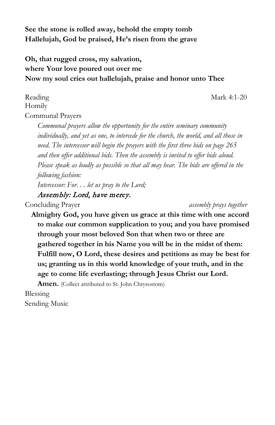**See the stone is rolled away, behold the empty tomb Hallelujah, God be praised, He's risen from the grave**

# **Oh, that rugged cross, my salvation, where Your love poured out over me Now my soul cries out hallelujah, praise and honor unto Thee**

Reading Mark 4:1-20

Communal Prayers

Homily

*Communal prayers allow the opportunity for the entire seminary community individually, and yet as one, to intercede for the church, the world, and all those in need. The intercessor will begin the prayers with the first three bids on page 265 and then offer additional bids. Then the assembly is invited to offer bids aloud. Please speak as loudly as possible so that all may hear. The bids are offered in the following fashion:*

*Intercessor: For. . . let us pray to the Lord;*

Assembly: Lord, have mercy.

Concluding Prayer *assembly prays together*

**Almighty God, you have given us grace at this time with one accord to make our common supplication to you; and you have promised through your most beloved Son that when two or three are gathered together in his Name you will be in the midst of them: Fulfill now, O Lord, these desires and petitions as may be best for us; granting us in this world knowledge of your truth, and in the age to come life everlasting; through Jesus Christ our Lord.** 

Amen. (Collect attributed to St. John Chrysostom)

Blessing

Sending Music